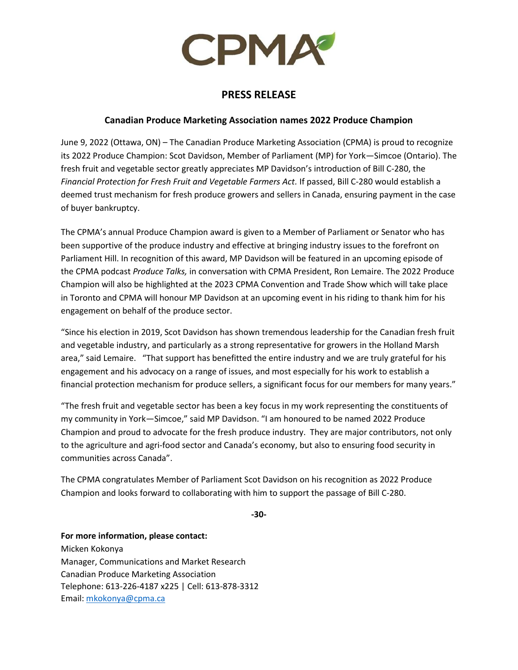

## **PRESS RELEASE**

## **Canadian Produce Marketing Association names 2022 Produce Champion**

June 9, 2022 (Ottawa, ON) – The Canadian Produce Marketing Association (CPMA) is proud to recognize its 2022 Produce Champion: Scot Davidson, Member of Parliament (MP) for York—Simcoe (Ontario). The fresh fruit and vegetable sector greatly appreciates MP Davidson's introduction of Bill C-280, the *Financial Protection for Fresh Fruit and Vegetable Farmers Act.* If passed, Bill C-280 would establish a deemed trust mechanism for fresh produce growers and sellers in Canada, ensuring payment in the case of buyer bankruptcy.

The CPMA's annual Produce Champion award is given to a Member of Parliament or Senator who has been supportive of the produce industry and effective at bringing industry issues to the forefront on Parliament Hill. In recognition of this award, MP Davidson will be featured in an upcoming episode of the CPMA podcast *Produce Talks,* in conversation with CPMA President, Ron Lemaire. The 2022 Produce Champion will also be highlighted at the 2023 CPMA Convention and Trade Show which will take place in Toronto and CPMA will honour MP Davidson at an upcoming event in his riding to thank him for his engagement on behalf of the produce sector.

"Since his election in 2019, Scot Davidson has shown tremendous leadership for the Canadian fresh fruit and vegetable industry, and particularly as a strong representative for growers in the Holland Marsh area," said Lemaire. "That support has benefitted the entire industry and we are truly grateful for his engagement and his advocacy on a range of issues, and most especially for his work to establish a financial protection mechanism for produce sellers, a significant focus for our members for many years."

"The fresh fruit and vegetable sector has been a key focus in my work representing the constituents of my community in York—Simcoe," said MP Davidson. "I am honoured to be named 2022 Produce Champion and proud to advocate for the fresh produce industry. They are major contributors, not only to the agriculture and agri-food sector and Canada's economy, but also to ensuring food security in communities across Canada".

The CPMA congratulates Member of Parliament Scot Davidson on his recognition as 2022 Produce Champion and looks forward to collaborating with him to support the passage of Bill C-280.

**-30-**

**For more information, please contact:**  Micken Kokonya Manager, Communications and Market Research Canadian Produce Marketing Association Telephone: 613-226-4187 x225 | Cell: 613-878-3312 Email: [mkokonya@cpma.ca](mailto:mkokonya@cpma.ca)